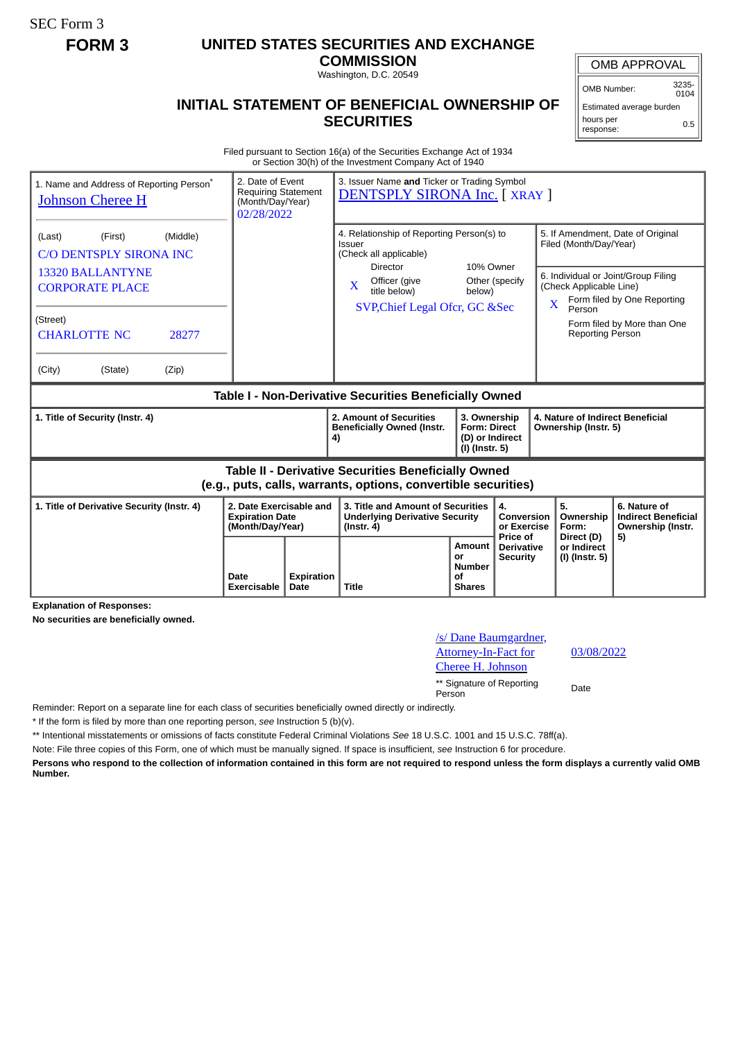SEC Form 3

## **FORM 3 UNITED STATES SECURITIES AND EXCHANGE**

**COMMISSION** Washington, D.C. 20549

## **INITIAL STATEMENT OF BENEFICIAL OWNERSHIP OF SECURITIES**

OMB APPROVAL

OMB Number: 3235-  $0104$ 

Estimated average burden hours per response: 0.5

Filed pursuant to Section 16(a) of the Securities Exchange Act of 1934 or Section 30(h) of the Investment Company Act of 1940

| 1. Name and Address of Reporting Person <sup>®</sup><br><b>Johnson Cheree H</b>                                                                                  | 2. Date of Event<br><b>Requiring Statement</b><br>(Month/Day/Year)<br>02/28/2022 |    | 3. Issuer Name and Ticker or Trading Symbol<br>DENTSPLY SIRONA Inc. [ XRAY ]                                                                                                                         |                                                                          |                                             |  |                                                                                                                                                                                                                                                             |                                                                       |
|------------------------------------------------------------------------------------------------------------------------------------------------------------------|----------------------------------------------------------------------------------|----|------------------------------------------------------------------------------------------------------------------------------------------------------------------------------------------------------|--------------------------------------------------------------------------|---------------------------------------------|--|-------------------------------------------------------------------------------------------------------------------------------------------------------------------------------------------------------------------------------------------------------------|-----------------------------------------------------------------------|
| (Middle)<br>(Last)<br>(First)<br><b>C/O DENTSPLY SIRONA INC</b><br><b>13320 BALLANTYNE</b><br><b>CORPORATE PLACE</b><br>(Street)<br><b>CHARLOTTE NC</b><br>28277 |                                                                                  |    | 4. Relationship of Reporting Person(s) to<br>Issuer<br>(Check all applicable)<br>10% Owner<br>Director<br>Officer (give<br>$\mathbf{x}$<br>title below)<br>below)<br>SVP, Chief Legal Ofcr, GC & Sec |                                                                          | Other (specify                              |  | 5. If Amendment, Date of Original<br>Filed (Month/Day/Year)<br>6. Individual or Joint/Group Filing<br>(Check Applicable Line)<br>Form filed by One Reporting<br>$\overline{\mathbf{X}}$<br>Person<br>Form filed by More than One<br><b>Reporting Person</b> |                                                                       |
| (City)<br>(State)<br>(Zip)                                                                                                                                       |                                                                                  |    |                                                                                                                                                                                                      |                                                                          |                                             |  |                                                                                                                                                                                                                                                             |                                                                       |
| Table I - Non-Derivative Securities Beneficially Owned                                                                                                           |                                                                                  |    |                                                                                                                                                                                                      |                                                                          |                                             |  |                                                                                                                                                                                                                                                             |                                                                       |
|                                                                                                                                                                  |                                                                                  |    |                                                                                                                                                                                                      |                                                                          |                                             |  |                                                                                                                                                                                                                                                             |                                                                       |
| 1. Title of Security (Instr. 4)                                                                                                                                  |                                                                                  | 4) | 2. Amount of Securities<br><b>Beneficially Owned (Instr.</b>                                                                                                                                         | 3. Ownership<br><b>Form: Direct</b><br>(D) or Indirect<br>(I) (Instr. 5) |                                             |  | 4. Nature of Indirect Beneficial<br>Ownership (Instr. 5)                                                                                                                                                                                                    |                                                                       |
|                                                                                                                                                                  |                                                                                  |    | <b>Table II - Derivative Securities Beneficially Owned</b><br>(e.g., puts, calls, warrants, options, convertible securities)                                                                         |                                                                          |                                             |  |                                                                                                                                                                                                                                                             |                                                                       |
| 1. Title of Derivative Security (Instr. 4)                                                                                                                       | 2. Date Exercisable and<br><b>Expiration Date</b><br>(Month/Day/Year)            |    | 3. Title and Amount of Securities<br><b>Underlying Derivative Security</b><br>$($ lnstr. 4 $)$                                                                                                       |                                                                          | 4.<br>Conversion<br>or Exercise<br>Price of |  | 5.<br>Ownership<br>Form:<br>Direct (D)                                                                                                                                                                                                                      | 6. Nature of<br><b>Indirect Beneficial</b><br>Ownership (Instr.<br>5) |

**Explanation of Responses:**

**No securities are beneficially owned.**

/s/ Dane Baumgardner, Attorney-In-Fact for Cheree H. Johnson 03/08/2022 \*\* Signature of Reporting Person Date

Reminder: Report on a separate line for each class of securities beneficially owned directly or indirectly.

\* If the form is filed by more than one reporting person, *see* Instruction 5 (b)(v).

\*\* Intentional misstatements or omissions of facts constitute Federal Criminal Violations *See* 18 U.S.C. 1001 and 15 U.S.C. 78ff(a).

Note: File three copies of this Form, one of which must be manually signed. If space is insufficient, *see* Instruction 6 for procedure.

**Persons who respond to the collection of information contained in this form are not required to respond unless the form displays a currently valid OMB Number.**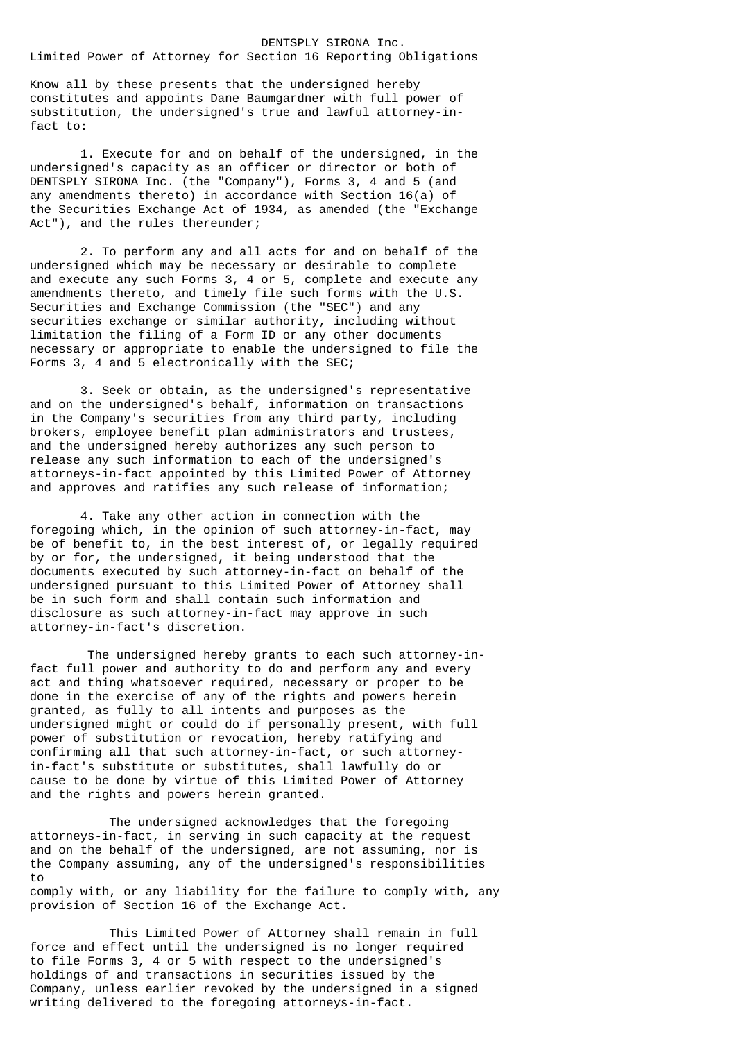## DENTSPLY SIRONA Inc. Limited Power of Attorney for Section 16 Reporting Obligations

Know all by these presents that the undersigned hereby constitutes and appoints Dane Baumgardner with full power of substitution, the undersigned's true and lawful attorney-infact to:

 1. Execute for and on behalf of the undersigned, in the undersigned's capacity as an officer or director or both of DENTSPLY SIRONA Inc. (the "Company"), Forms 3, 4 and 5 (and any amendments thereto) in accordance with Section 16(a) of the Securities Exchange Act of 1934, as amended (the "Exchange Act"), and the rules thereunder;

 2. To perform any and all acts for and on behalf of the undersigned which may be necessary or desirable to complete and execute any such Forms 3, 4 or 5, complete and execute any amendments thereto, and timely file such forms with the U.S. Securities and Exchange Commission (the "SEC") and any securities exchange or similar authority, including without limitation the filing of a Form ID or any other documents necessary or appropriate to enable the undersigned to file the Forms 3, 4 and 5 electronically with the SEC;

 3. Seek or obtain, as the undersigned's representative and on the undersigned's behalf, information on transactions in the Company's securities from any third party, including brokers, employee benefit plan administrators and trustees, and the undersigned hereby authorizes any such person to release any such information to each of the undersigned's attorneys-in-fact appointed by this Limited Power of Attorney and approves and ratifies any such release of information;

 4. Take any other action in connection with the foregoing which, in the opinion of such attorney-in-fact, may be of benefit to, in the best interest of, or legally required by or for, the undersigned, it being understood that the documents executed by such attorney-in-fact on behalf of the undersigned pursuant to this Limited Power of Attorney shall be in such form and shall contain such information and disclosure as such attorney-in-fact may approve in such attorney-in-fact's discretion.

The undersigned hereby grants to each such attorney-infact full power and authority to do and perform any and every act and thing whatsoever required, necessary or proper to be done in the exercise of any of the rights and powers herein granted, as fully to all intents and purposes as the undersigned might or could do if personally present, with full power of substitution or revocation, hereby ratifying and confirming all that such attorney-in-fact, or such attorneyin-fact's substitute or substitutes, shall lawfully do or cause to be done by virtue of this Limited Power of Attorney and the rights and powers herein granted.

 The undersigned acknowledges that the foregoing attorneys-in-fact, in serving in such capacity at the request and on the behalf of the undersigned, are not assuming, nor is the Company assuming, any of the undersigned's responsibilities to comply with, or any liability for the failure to comply with, any provision of Section 16 of the Exchange Act.

 This Limited Power of Attorney shall remain in full force and effect until the undersigned is no longer required to file Forms 3, 4 or 5 with respect to the undersigned's holdings of and transactions in securities issued by the Company, unless earlier revoked by the undersigned in a signed writing delivered to the foregoing attorneys-in-fact.